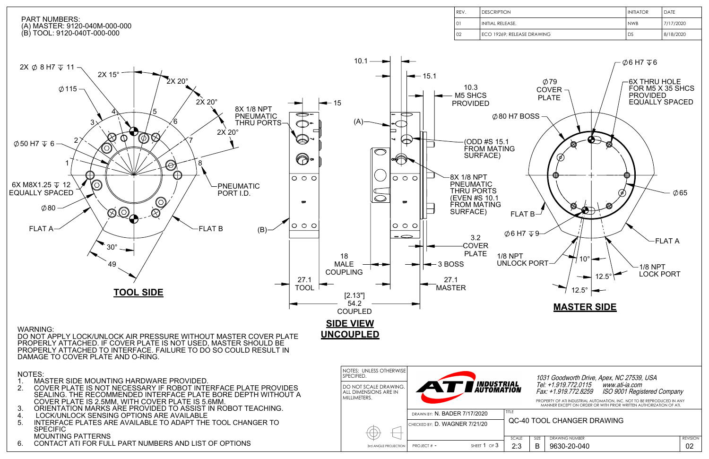

|                    | I initiator | <b>DATE</b> |
|--------------------|-------------|-------------|
|                    | l nwb       | 7/17/2020   |
| <b>ASE DRAWING</b> | DS          | 8/18/2020   |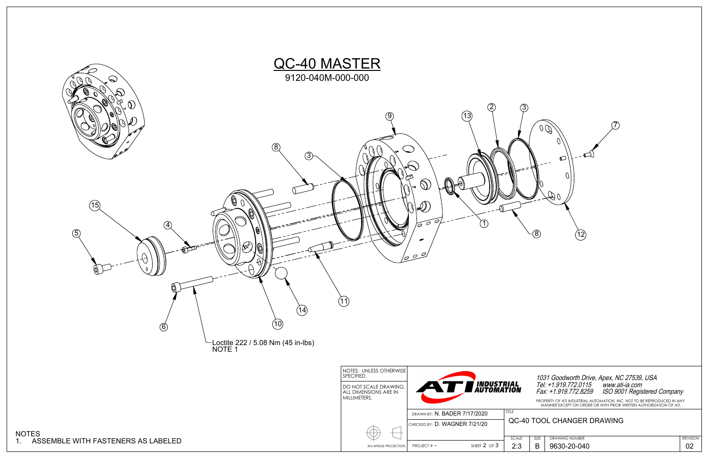REVISION



PROPERTY OF ATI INDUSTRIAL AUTOMATION, INC. NOT TO BE REPRODUCED IN ANY MANNER EXCEPT ON ORDER OR WITH PRIOR WRITTEN AUTHORIZATION OF ATI.

| SI <sub>7</sub> F | <b>DRAWING NUMBER</b> |
|-------------------|-----------------------|
|                   | 9630-20-04            |

## 1031 Goodworth Drive, Apex, NC 27539, USA Tel: +1.919.772.0115 www.ati-ia.com Fax: +1.919.772.8259 ISO 9001 Registered Company